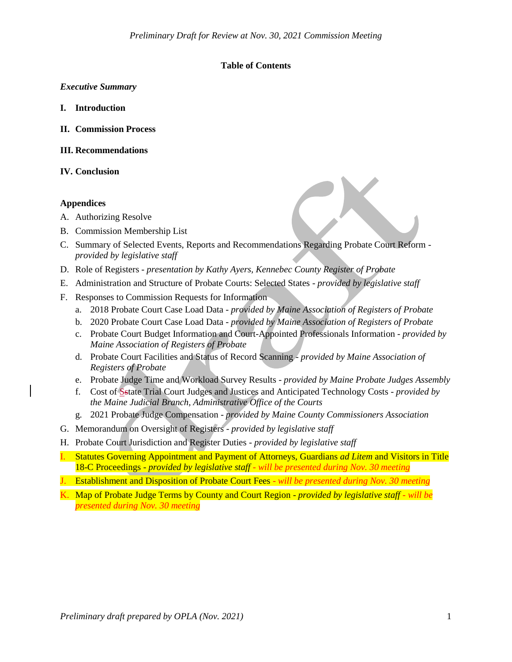# **Table of Contents**

### *Executive Summary*

- **I. Introduction**
- **II. Commission Process**
- **III. Recommendations**
- **IV. Conclusion**

# **Appendices**

- A. Authorizing Resolve
- B. Commission Membership List
- C. Summary of Selected Events, Reports and Recommendations Regarding Probate Court Reform *provided by legislative staff*
- D. Role of Registers *presentation by Kathy Ayers, Kennebec County Register of Probate*
- E. Administration and Structure of Probate Courts: Selected States *provided by legislative staff*
- F. Responses to Commission Requests for Information
	- a. 2018 Probate Court Case Load Data *provided by Maine Association of Registers of Probate*
	- b. 2020 Probate Court Case Load Data *provided by Maine Association of Registers of Probate*
	- c. Probate Court Budget Information and Court-Appointed Professionals Information *provided by Maine Association of Registers of Probate*
	- d. Probate Court Facilities and Status of Record Scanning *provided by Maine Association of Registers of Probate*
	- e. Probate Judge Time and Workload Survey Results *provided by Maine Probate Judges Assembly*
	- f. Cost of Sstate Trial Court Judges and Justices and Anticipated Technology Costs *provided by the Maine Judicial Branch, Administrative Office of the Courts*
	- g. 2021 Probate Judge Compensation *provided by Maine County Commissioners Association*
- G. Memorandum on Oversight of Registers *provided by legislative staff*
- H. Probate Court Jurisdiction and Register Duties *provided by legislative staff*
- I. Statutes Governing Appointment and Payment of Attorneys, Guardians *ad Litem* and Visitors in Title 18-C Proceedings - *provided by legislative staff - will be presented during Nov. 30 meeting*
- J. Establishment and Disposition of Probate Court Fees *- will be presented during Nov. 30 meeting*
- K. Map of Probate Judge Terms by County and Court Region *provided by legislative staff - will be presented during Nov. 30 meeting*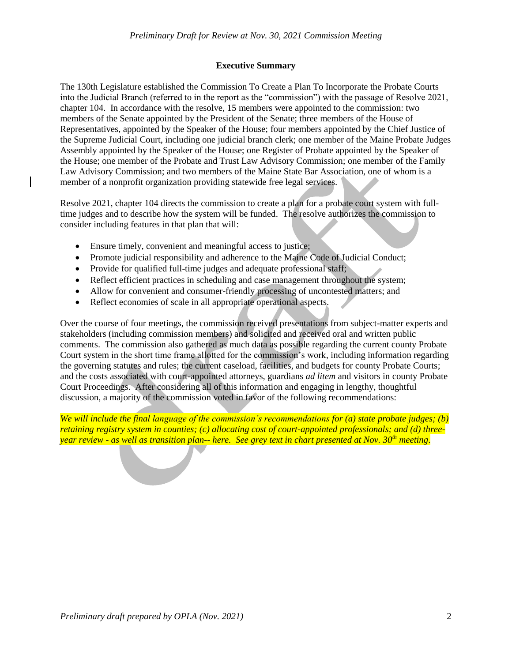#### **Executive Summary**

The 130th Legislature established the Commission To Create a Plan To Incorporate the Probate Courts into the Judicial Branch (referred to in the report as the "commission") with the passage of Resolve 2021, chapter 104. In accordance with the resolve, 15 members were appointed to the commission: two members of the Senate appointed by the President of the Senate; three members of the House of Representatives, appointed by the Speaker of the House; four members appointed by the Chief Justice of the Supreme Judicial Court, including one judicial branch clerk; one member of the Maine Probate Judges Assembly appointed by the Speaker of the House; one Register of Probate appointed by the Speaker of the House; one member of the Probate and Trust Law Advisory Commission; one member of the Family Law Advisory Commission; and two members of the Maine State Bar Association, one of whom is a member of a nonprofit organization providing statewide free legal services.

Resolve 2021, chapter 104 directs the commission to create a plan for a probate court system with fulltime judges and to describe how the system will be funded. The resolve authorizes the commission to consider including features in that plan that will:

- Ensure timely, convenient and meaningful access to justice;
- Promote judicial responsibility and adherence to the Maine Code of Judicial Conduct;
- Provide for qualified full-time judges and adequate professional staff;
- Reflect efficient practices in scheduling and case management throughout the system;
- Allow for convenient and consumer-friendly processing of uncontested matters; and
- Reflect economies of scale in all appropriate operational aspects.

Over the course of four meetings, the commission received presentations from subject-matter experts and stakeholders (including commission members) and solicited and received oral and written public comments. The commission also gathered as much data as possible regarding the current county Probate Court system in the short time frame allotted for the commission's work, including information regarding the governing statutes and rules; the current caseload, facilities, and budgets for county Probate Courts; and the costs associated with court-appointed attorneys, guardians *ad litem* and visitors in county Probate Court Proceedings. After considering all of this information and engaging in lengthy, thoughtful discussion, a majority of the commission voted in favor of the following recommendations:

*We will include the final language of the commission's recommendations for (a) state probate judges; (b) retaining registry system in counties; (c) allocating cost of court-appointed professionals; and (d) threeyear review - as well as transition plan-- here. See grey text in chart presented at Nov. 30th meeting*.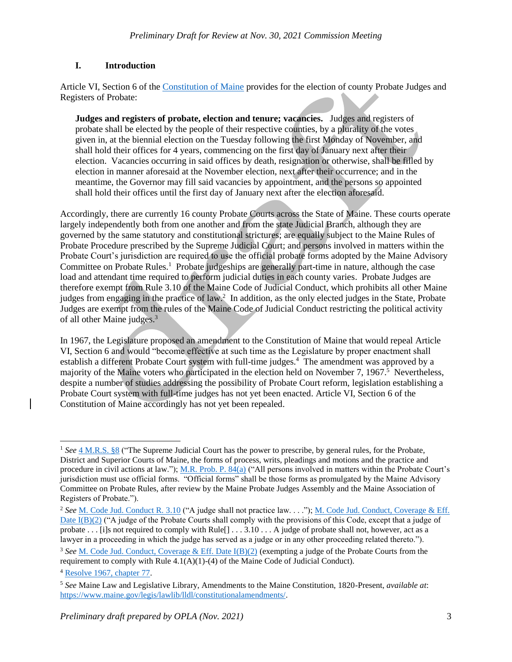# **I. Introduction**

Article VI, Section 6 of the [Constitution of Maine](https://legislature.maine.gov/ros/LawsOfMaine/#Const) provides for the election of county Probate Judges and Registers of Probate:

**Judges and registers of probate, election and tenure; vacancies.** Judges and registers of probate shall be elected by the people of their respective counties, by a plurality of the votes given in, at the biennial election on the Tuesday following the first Monday of November, and shall hold their offices for 4 years, commencing on the first day of January next after their election. Vacancies occurring in said offices by death, resignation or otherwise, shall be filled by election in manner aforesaid at the November election, next after their occurrence; and in the meantime, the Governor may fill said vacancies by appointment, and the persons so appointed shall hold their offices until the first day of January next after the election aforesaid.

Accordingly, there are currently 16 county Probate Courts across the State of Maine. These courts operate largely independently both from one another and from the state Judicial Branch, although they are governed by the same statutory and constitutional strictures; are equally subject to the Maine Rules of Probate Procedure prescribed by the Supreme Judicial Court; and persons involved in matters within the Probate Court's jurisdiction are required to use the official probate forms adopted by the Maine Advisory Committee on Probate Rules.<sup>1</sup> Probate judgeships are generally part-time in nature, although the case load and attendant time required to perform judicial duties in each county varies. Probate Judges are therefore exempt from Rule 3.10 of the Maine Code of Judicial Conduct, which prohibits all other Maine judges from engaging in the practice of law.<sup>2</sup> In addition, as the only elected judges in the State, Probate Judges are exempt from the rules of the Maine Code of Judicial Conduct restricting the political activity of all other Maine judges.<sup>3</sup>

In 1967, the Legislature proposed an amendment to the Constitution of Maine that would repeal Article VI, Section 6 and would "become effective at such time as the Legislature by proper enactment shall establish a different Probate Court system with full-time judges.<sup>4</sup> The amendment was approved by a majority of the Maine voters who participated in the election held on November 7, 1967.<sup>5</sup> Nevertheless, despite a number of studies addressing the possibility of Probate Court reform, legislation establishing a Probate Court system with full-time judges has not yet been enacted. Article VI, Section 6 of the Constitution of Maine accordingly has not yet been repealed.

 $\overline{\phantom{a}}$ <sup>1</sup> *See* [4 M.R.S. §8](https://legislature.maine.gov/legis/statutes/4/title4sec8.html) ("The Supreme Judicial Court has the power to prescribe, by general rules, for the Probate, District and Superior Courts of Maine, the forms of process, writs, pleadings and motions and the practice and procedure in civil actions at law.")[; M.R. Prob. P. 84\(a\)](https://www.courts.maine.gov/rules/text/mr_prob_p_only_2019-04-11.pdf) ("All persons involved in matters within the Probate Court's jurisdiction must use official forms. "Official forms" shall be those forms as promulgated by the Maine Advisory Committee on Probate Rules, after review by the Maine Probate Judges Assembly and the Maine Association of Registers of Probate.").

<sup>&</sup>lt;sup>2</sup> See [M. Code Jud. Conduct R. 3.10](https://www.courts.maine.gov/rules/text/mc_jud_conduct_plus_2017-9-5.pdf) ("A judge shall not practice law. . . ."); M. Code Jud. Conduct, Coverage & Eff. [Date I\(B\)\(2\)](https://www.courts.maine.gov/rules/text/mc_jud_conduct_plus_2017-9-5.pdf) ("A judge of the Probate Courts shall comply with the provisions of this Code, except that a judge of probate  $\ldots$  [i]s not required to comply with Rule[]  $\ldots$  3.10  $\ldots$  A judge of probate shall not, however, act as a lawyer in a proceeding in which the judge has served as a judge or in any other proceeding related thereto.").

<sup>3</sup> *See* [M. Code Jud. Conduct, Coverage & Eff. Date I\(B\)\(2\)](https://www.courts.maine.gov/rules/text/mc_jud_conduct_plus_2017-9-5.pdf) (exempting a judge of the Probate Courts from the requirement to comply with Rule  $4.1(A)(1)-(4)$  of the Maine Code of Judicial Conduct).

<sup>4</sup> [Resolve 1967, chapter 77.](http://lldc.mainelegislature.org/Open/Laws/1967/1967_RES_c077.pdf)

<sup>5</sup> *See* Maine Law and Legislative Library, Amendments to the Maine Constitution, 1820-Present, *available at*: [https://www.maine.gov/legis/lawlib/lldl/constitutionalamendments/.](https://www.maine.gov/legis/lawlib/lldl/constitutionalamendments/)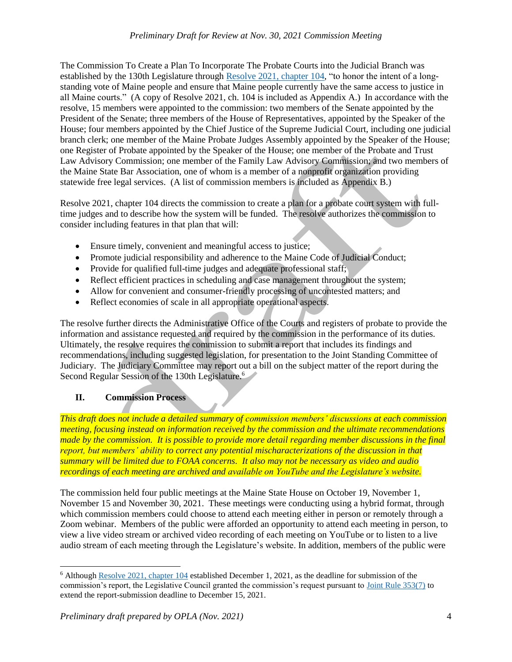The Commission To Create a Plan To Incorporate The Probate Courts into the Judicial Branch was established by the 130th Legislature through [Resolve 2021, chapter 104,](http://www.mainelegislature.org/legis/bills/getPDF.asp?paper=HP0530&item=3&snum=130) "to honor the intent of a longstanding vote of Maine people and ensure that Maine people currently have the same access to justice in all Maine courts." (A copy of Resolve 2021, ch. 104 is included as Appendix A.) In accordance with the resolve, 15 members were appointed to the commission: two members of the Senate appointed by the President of the Senate; three members of the House of Representatives, appointed by the Speaker of the House; four members appointed by the Chief Justice of the Supreme Judicial Court, including one judicial branch clerk; one member of the Maine Probate Judges Assembly appointed by the Speaker of the House; one Register of Probate appointed by the Speaker of the House; one member of the Probate and Trust Law Advisory Commission; one member of the Family Law Advisory Commission; and two members of the Maine State Bar Association, one of whom is a member of a nonprofit organization providing statewide free legal services. (A list of commission members is included as Appendix B.)

Resolve 2021, chapter 104 directs the commission to create a plan for a probate court system with fulltime judges and to describe how the system will be funded. The resolve authorizes the commission to consider including features in that plan that will:

- Ensure timely, convenient and meaningful access to justice;
- Promote judicial responsibility and adherence to the Maine Code of Judicial Conduct;
- Provide for qualified full-time judges and adequate professional staff;
- Reflect efficient practices in scheduling and case management throughout the system;
- Allow for convenient and consumer-friendly processing of uncontested matters; and
- Reflect economies of scale in all appropriate operational aspects.

The resolve further directs the Administrative Office of the Courts and registers of probate to provide the information and assistance requested and required by the commission in the performance of its duties. Ultimately, the resolve requires the commission to submit a report that includes its findings and recommendations, including suggested legislation, for presentation to the Joint Standing Committee of Judiciary. The Judiciary Committee may report out a bill on the subject matter of the report during the Second Regular Session of the 130th Legislature.<sup>6</sup>

# **II. Commission Process**

*This draft does not include a detailed summary of commission members' discussions at each commission meeting, focusing instead on information received by the commission and the ultimate recommendations made by the commission. It is possible to provide more detail regarding member discussions in the final report, but members' ability to correct any potential mischaracterizations of the discussion in that summary will be limited due to FOAA concerns. It also may not be necessary as video and audio recordings of each meeting are archived and available on YouTube and the Legislature's website.*

The commission held four public meetings at the Maine State House on October 19, November 1, November 15 and November 30, 2021. These meetings were conducting using a hybrid format, through which commission members could choose to attend each meeting either in person or remotely through a Zoom webinar. Members of the public were afforded an opportunity to attend each meeting in person, to view a live video stream or archived video recording of each meeting on YouTube or to listen to a live audio stream of each meeting through the Legislature's website. In addition, members of the public were

<sup>6</sup> Although [Resolve 2021, chapter 104](http://www.mainelegislature.org/legis/bills/getPDF.asp?paper=HP0530&item=3&snum=130) established December 1, 2021, as the deadline for submission of the commission's report, the Legislative Council granted the commission's request pursuant to [Joint Rule 353\(7\)](https://legislature.maine.gov/house/house/Documents/JointRules) to extend the report-submission deadline to December 15, 2021.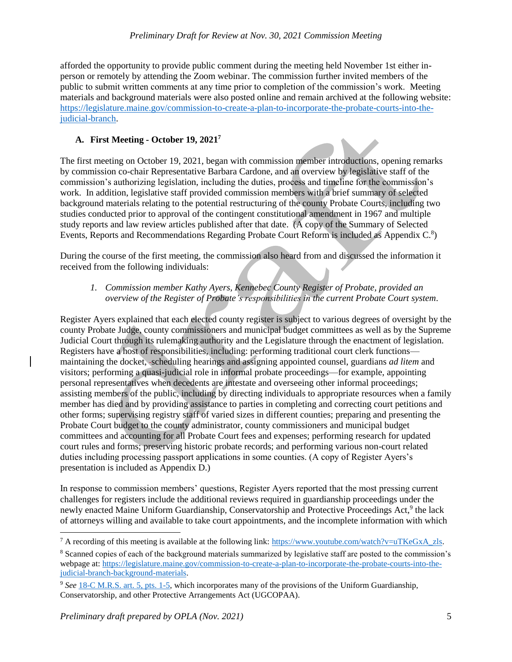afforded the opportunity to provide public comment during the meeting held November 1st either inperson or remotely by attending the Zoom webinar. The commission further invited members of the public to submit written comments at any time prior to completion of the commission's work. Meeting materials and background materials were also posted online and remain archived at the following website: [https://legislature.maine.gov/commission-to-create-a-plan-to-incorporate-the-probate-courts-into-the](https://legislature.maine.gov/commission-to-create-a-plan-to-incorporate-the-probate-courts-into-the-judicial-branch)[judicial-branch.](https://legislature.maine.gov/commission-to-create-a-plan-to-incorporate-the-probate-courts-into-the-judicial-branch)

# **A. First Meeting - October 19, 2021<sup>7</sup>**

The first meeting on October 19, 2021, began with commission member introductions, opening remarks by commission co-chair Representative Barbara Cardone, and an overview by legislative staff of the commission's authorizing legislation, including the duties, process and timeline for the commission's work. In addition, legislative staff provided commission members with a brief summary of selected background materials relating to the potential restructuring of the county Probate Courts, including two studies conducted prior to approval of the contingent constitutional amendment in 1967 and multiple study reports and law review articles published after that date. (A copy of the Summary of Selected Events, Reports and Recommendations Regarding Probate Court Reform is included as Appendix C.<sup>8</sup>)

During the course of the first meeting, the commission also heard from and discussed the information it received from the following individuals:

# *1. Commission member Kathy Ayers, Kennebec County Register of Probate, provided an overview of the Register of Probate's responsibilities in the current Probate Court system*.

Register Ayers explained that each elected county register is subject to various degrees of oversight by the county Probate Judge, county commissioners and municipal budget committees as well as by the Supreme Judicial Court through its rulemaking authority and the Legislature through the enactment of legislation. Registers have a host of responsibilities, including: performing traditional court clerk functions maintaining the docket, scheduling hearings and assigning appointed counsel, guardians *ad litem* and visitors; performing a quasi-judicial role in informal probate proceedings—for example, appointing personal representatives when decedents are intestate and overseeing other informal proceedings; assisting members of the public, including by directing individuals to appropriate resources when a family member has died and by providing assistance to parties in completing and correcting court petitions and other forms; supervising registry staff of varied sizes in different counties; preparing and presenting the Probate Court budget to the county administrator, county commissioners and municipal budget committees and accounting for all Probate Court fees and expenses; performing research for updated court rules and forms; preserving historic probate records; and performing various non-court related duties including processing passport applications in some counties. (A copy of Register Ayers's presentation is included as Appendix D.)

In response to commission members' questions, Register Ayers reported that the most pressing current challenges for registers include the additional reviews required in guardianship proceedings under the newly enacted Maine Uniform Guardianship, Conservatorship and Protective Proceedings Act,<sup>9</sup> the lack of attorneys willing and available to take court appointments, and the incomplete information with which

<sup>&</sup>lt;sup>7</sup> A recording of this meeting is available at the following link: [https://www.youtube.com/watch?v=uTKeGxA\\_zls.](https://www.youtube.com/watch?v=uTKeGxA_zls)

<sup>8</sup> Scanned copies of each of the background materials summarized by legislative staff are posted to the commission's webpage at: [https://legislature.maine.gov/commission-to-create-a-plan-to-incorporate-the-probate-courts-into-the](https://legislature.maine.gov/commission-to-create-a-plan-to-incorporate-the-probate-courts-into-the-judicial-branch-background-materials)[judicial-branch-background-materials.](https://legislature.maine.gov/commission-to-create-a-plan-to-incorporate-the-probate-courts-into-the-judicial-branch-background-materials)

<sup>9</sup> *See* [18-C M.R.S. art. 5, pts. 1-5,](https://legislature.maine.gov/legis/statutes/18-C/title18-Cch5sec0.html) which incorporates many of the provisions of the Uniform Guardianship, Conservatorship, and other Protective Arrangements Act (UGCOPAA).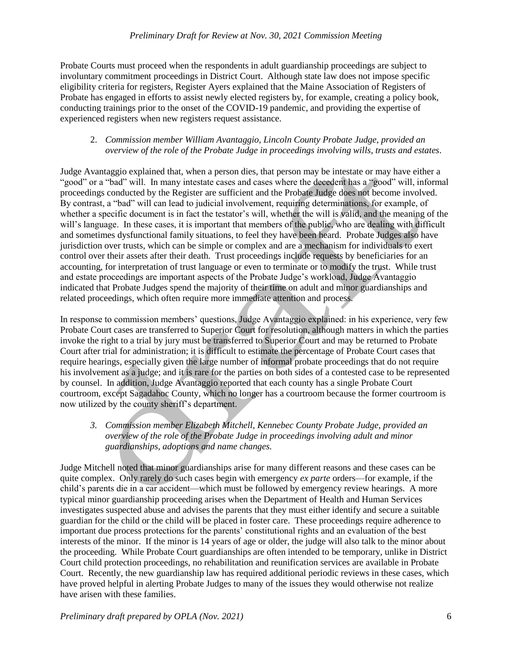Probate Courts must proceed when the respondents in adult guardianship proceedings are subject to involuntary commitment proceedings in District Court. Although state law does not impose specific eligibility criteria for registers, Register Ayers explained that the Maine Association of Registers of Probate has engaged in efforts to assist newly elected registers by, for example, creating a policy book, conducting trainings prior to the onset of the COVID-19 pandemic, and providing the expertise of experienced registers when new registers request assistance.

# 2. *Commission member William Avantaggio, Lincoln County Probate Judge, provided an overview of the role of the Probate Judge in proceedings involving wills, trusts and estates*.

Judge Avantaggio explained that, when a person dies, that person may be intestate or may have either a "good" or a "bad" will. In many intestate cases and cases where the decedent has a "good" will, informal proceedings conducted by the Register are sufficient and the Probate Judge does not become involved. By contrast, a "bad" will can lead to judicial involvement, requiring determinations, for example, of whether a specific document is in fact the testator's will, whether the will is valid, and the meaning of the will's language. In these cases, it is important that members of the public, who are dealing with difficult and sometimes dysfunctional family situations, to feel they have been heard. Probate Judges also have jurisdiction over trusts, which can be simple or complex and are a mechanism for individuals to exert control over their assets after their death. Trust proceedings include requests by beneficiaries for an accounting, for interpretation of trust language or even to terminate or to modify the trust. While trust and estate proceedings are important aspects of the Probate Judge's workload, Judge Avantaggio indicated that Probate Judges spend the majority of their time on adult and minor guardianships and related proceedings, which often require more immediate attention and process.

In response to commission members' questions, Judge Avantaggio explained: in his experience, very few Probate Court cases are transferred to Superior Court for resolution, although matters in which the parties invoke the right to a trial by jury must be transferred to Superior Court and may be returned to Probate Court after trial for administration; it is difficult to estimate the percentage of Probate Court cases that require hearings, especially given the large number of informal probate proceedings that do not require his involvement as a judge; and it is rare for the parties on both sides of a contested case to be represented by counsel. In addition, Judge Avantaggio reported that each county has a single Probate Court courtroom, except Sagadahoc County, which no longer has a courtroom because the former courtroom is now utilized by the county sheriff's department.

*3. Commission member Elizabeth Mitchell, Kennebec County Probate Judge, provided an overview of the role of the Probate Judge in proceedings involving adult and minor guardianships, adoptions and name changes.*

Judge Mitchell noted that minor guardianships arise for many different reasons and these cases can be quite complex. Only rarely do such cases begin with emergency *ex parte* orders—for example, if the child's parents die in a car accident—which must be followed by emergency review hearings. A more typical minor guardianship proceeding arises when the Department of Health and Human Services investigates suspected abuse and advises the parents that they must either identify and secure a suitable guardian for the child or the child will be placed in foster care. These proceedings require adherence to important due process protections for the parents' constitutional rights and an evaluation of the best interests of the minor. If the minor is 14 years of age or older, the judge will also talk to the minor about the proceeding. While Probate Court guardianships are often intended to be temporary, unlike in District Court child protection proceedings, no rehabilitation and reunification services are available in Probate Court. Recently, the new guardianship law has required additional periodic reviews in these cases, which have proved helpful in alerting Probate Judges to many of the issues they would otherwise not realize have arisen with these families.

*Preliminary draft prepared by OPLA (Nov. 2021)* 6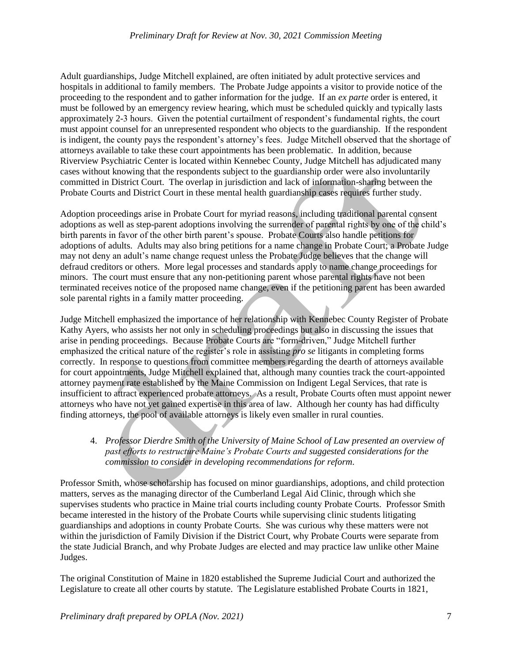Adult guardianships, Judge Mitchell explained, are often initiated by adult protective services and hospitals in additional to family members. The Probate Judge appoints a visitor to provide notice of the proceeding to the respondent and to gather information for the judge. If an *ex parte* order is entered, it must be followed by an emergency review hearing, which must be scheduled quickly and typically lasts approximately 2-3 hours. Given the potential curtailment of respondent's fundamental rights, the court must appoint counsel for an unrepresented respondent who objects to the guardianship. If the respondent is indigent, the county pays the respondent's attorney's fees. Judge Mitchell observed that the shortage of attorneys available to take these court appointments has been problematic. In addition, because Riverview Psychiatric Center is located within Kennebec County, Judge Mitchell has adjudicated many cases without knowing that the respondents subject to the guardianship order were also involuntarily committed in District Court. The overlap in jurisdiction and lack of information-sharing between the Probate Courts and District Court in these mental health guardianship cases requires further study.

Adoption proceedings arise in Probate Court for myriad reasons, including traditional parental consent adoptions as well as step-parent adoptions involving the surrender of parental rights by one of the child's birth parents in favor of the other birth parent's spouse. Probate Courts also handle petitions for adoptions of adults. Adults may also bring petitions for a name change in Probate Court; a Probate Judge may not deny an adult's name change request unless the Probate Judge believes that the change will defraud creditors or others. More legal processes and standards apply to name change proceedings for minors. The court must ensure that any non-petitioning parent whose parental rights have not been terminated receives notice of the proposed name change, even if the petitioning parent has been awarded sole parental rights in a family matter proceeding.

Judge Mitchell emphasized the importance of her relationship with Kennebec County Register of Probate Kathy Ayers, who assists her not only in scheduling proceedings but also in discussing the issues that arise in pending proceedings. Because Probate Courts are "form-driven," Judge Mitchell further emphasized the critical nature of the register's role in assisting *pro se* litigants in completing forms correctly. In response to questions from committee members regarding the dearth of attorneys available for court appointments, Judge Mitchell explained that, although many counties track the court-appointed attorney payment rate established by the Maine Commission on Indigent Legal Services, that rate is insufficient to attract experienced probate attorneys. As a result, Probate Courts often must appoint newer attorneys who have not yet gained expertise in this area of law. Although her county has had difficulty finding attorneys, the pool of available attorneys is likely even smaller in rural counties.

4. *Professor Dierdre Smith of the University of Maine School of Law presented an overview of past efforts to restructure Maine's Probate Courts and suggested considerations for the commission to consider in developing recommendations for reform.*

Professor Smith, whose scholarship has focused on minor guardianships, adoptions, and child protection matters, serves as the managing director of the Cumberland Legal Aid Clinic, through which she supervises students who practice in Maine trial courts including county Probate Courts. Professor Smith became interested in the history of the Probate Courts while supervising clinic students litigating guardianships and adoptions in county Probate Courts. She was curious why these matters were not within the jurisdiction of Family Division if the District Court, why Probate Courts were separate from the state Judicial Branch, and why Probate Judges are elected and may practice law unlike other Maine Judges.

The original Constitution of Maine in 1820 established the Supreme Judicial Court and authorized the Legislature to create all other courts by statute. The Legislature established Probate Courts in 1821,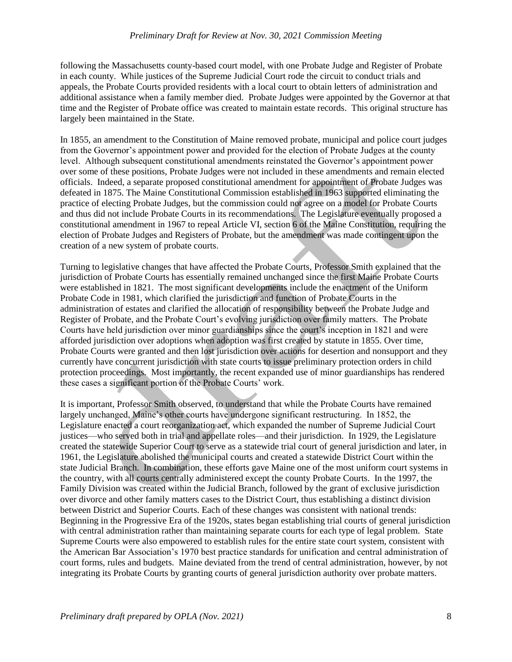following the Massachusetts county-based court model, with one Probate Judge and Register of Probate in each county. While justices of the Supreme Judicial Court rode the circuit to conduct trials and appeals, the Probate Courts provided residents with a local court to obtain letters of administration and additional assistance when a family member died. Probate Judges were appointed by the Governor at that time and the Register of Probate office was created to maintain estate records. This original structure has largely been maintained in the State.

In 1855, an amendment to the Constitution of Maine removed probate, municipal and police court judges from the Governor's appointment power and provided for the election of Probate Judges at the county level. Although subsequent constitutional amendments reinstated the Governor's appointment power over some of these positions, Probate Judges were not included in these amendments and remain elected officials. Indeed, a separate proposed constitutional amendment for appointment of Probate Judges was defeated in 1875. The Maine Constitutional Commission established in 1963 supported eliminating the practice of electing Probate Judges, but the commission could not agree on a model for Probate Courts and thus did not include Probate Courts in its recommendations. The Legislature eventually proposed a constitutional amendment in 1967 to repeal Article VI, section 6 of the Maine Constitution, requiring the election of Probate Judges and Registers of Probate, but the amendment was made contingent upon the creation of a new system of probate courts.

Turning to legislative changes that have affected the Probate Courts, Professor Smith explained that the jurisdiction of Probate Courts has essentially remained unchanged since the first Maine Probate Courts were established in 1821. The most significant developments include the enactment of the Uniform Probate Code in 1981, which clarified the jurisdiction and function of Probate Courts in the administration of estates and clarified the allocation of responsibility between the Probate Judge and Register of Probate, and the Probate Court's evolving jurisdiction over family matters. The Probate Courts have held jurisdiction over minor guardianships since the court's inception in 1821 and were afforded jurisdiction over adoptions when adoption was first created by statute in 1855. Over time, Probate Courts were granted and then lost jurisdiction over actions for desertion and nonsupport and they currently have concurrent jurisdiction with state courts to issue preliminary protection orders in child protection proceedings. Most importantly, the recent expanded use of minor guardianships has rendered these cases a significant portion of the Probate Courts' work.

It is important, Professor Smith observed, to understand that while the Probate Courts have remained largely unchanged, Maine's other courts have undergone significant restructuring. In 1852, the Legislature enacted a court reorganization act, which expanded the number of Supreme Judicial Court justices—who served both in trial and appellate roles—and their jurisdiction. In 1929, the Legislature created the statewide Superior Court to serve as a statewide trial court of general jurisdiction and later, in 1961, the Legislature abolished the municipal courts and created a statewide District Court within the state Judicial Branch. In combination, these efforts gave Maine one of the most uniform court systems in the country, with all courts centrally administered except the county Probate Courts. In the 1997, the Family Division was created within the Judicial Branch, followed by the grant of exclusive jurisdiction over divorce and other family matters cases to the District Court, thus establishing a distinct division between District and Superior Courts. Each of these changes was consistent with national trends: Beginning in the Progressive Era of the 1920s, states began establishing trial courts of general jurisdiction with central administration rather than maintaining separate courts for each type of legal problem. State Supreme Courts were also empowered to establish rules for the entire state court system, consistent with the American Bar Association's 1970 best practice standards for unification and central administration of court forms, rules and budgets. Maine deviated from the trend of central administration, however, by not integrating its Probate Courts by granting courts of general jurisdiction authority over probate matters.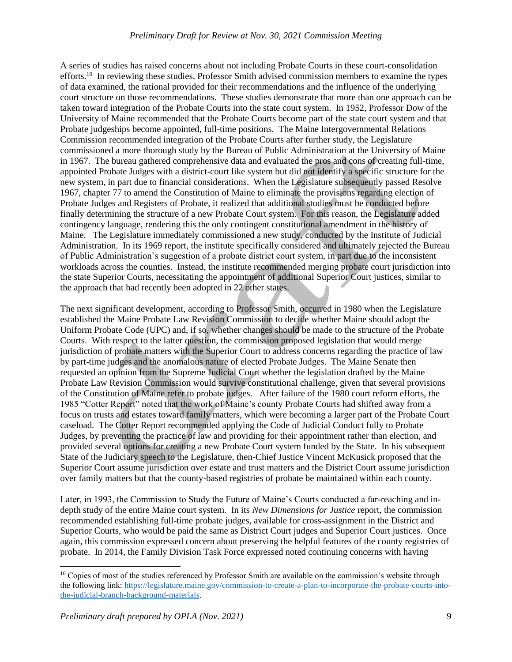#### *Preliminary Draft for Review at Nov. 30, 2021 Commission Meeting*

A series of studies has raised concerns about not including Probate Courts in these court-consolidation efforts.<sup>10</sup> In reviewing these studies, Professor Smith advised commission members to examine the types of data examined, the rational provided for their recommendations and the influence of the underlying court structure on those recommendations. These studies demonstrate that more than one approach can be taken toward integration of the Probate Courts into the state court system. In 1952, Professor Dow of the University of Maine recommended that the Probate Courts become part of the state court system and that Probate judgeships become appointed, full-time positions. The Maine Intergovernmental Relations Commission recommended integration of the Probate Courts after further study, the Legislature commissioned a more thorough study by the Bureau of Public Administration at the University of Maine in 1967. The bureau gathered comprehensive data and evaluated the pros and cons of creating full-time, appointed Probate Judges with a district-court like system but did not identify a specific structure for the new system, in part due to financial considerations. When the Legislature subsequently passed Resolve 1967, chapter 77 to amend the Constitution of Maine to eliminate the provisions regarding election of Probate Judges and Registers of Probate, it realized that additional studies must be conducted before finally determining the structure of a new Probate Court system. For this reason, the Legislature added contingency language, rendering this the only contingent constitutional amendment in the history of Maine. The Legislature immediately commissioned a new study, conducted by the Institute of Judicial Administration. In its 1969 report, the institute specifically considered and ultimately rejected the Bureau of Public Administration's suggestion of a probate district court system, in part due to the inconsistent workloads across the counties. Instead, the institute recommended merging probate court jurisdiction into the state Superior Courts, necessitating the appointment of additional Superior Court justices, similar to the approach that had recently been adopted in 22 other states.

The next significant development, according to Professor Smith, occurred in 1980 when the Legislature established the Maine Probate Law Revision Commission to decide whether Maine should adopt the Uniform Probate Code (UPC) and, if so, whether changes should be made to the structure of the Probate Courts. With respect to the latter question, the commission proposed legislation that would merge jurisdiction of probate matters with the Superior Court to address concerns regarding the practice of law by part-time judges and the anomalous nature of elected Probate Judges. The Maine Senate then requested an opinion from the Supreme Judicial Court whether the legislation drafted by the Maine Probate Law Revision Commission would survive constitutional challenge, given that several provisions of the Constitution of Maine refer to probate judges. After failure of the 1980 court reform efforts, the 1985 "Cotter Report" noted that the work of Maine's county Probate Courts had shifted away from a focus on trusts and estates toward family matters, which were becoming a larger part of the Probate Court caseload. The Cotter Report recommended applying the Code of Judicial Conduct fully to Probate Judges, by preventing the practice of law and providing for their appointment rather than election, and provided several options for creating a new Probate Court system funded by the State. In his subsequent State of the Judiciary speech to the Legislature, then-Chief Justice Vincent McKusick proposed that the Superior Court assume jurisdiction over estate and trust matters and the District Court assume jurisdiction over family matters but that the county-based registries of probate be maintained within each county.

Later, in 1993, the Commission to Study the Future of Maine's Courts conducted a far-reaching and indepth study of the entire Maine court system. In its *New Dimensions for Justice* report, the commission recommended establishing full-time probate judges, available for cross-assignment in the District and Superior Courts, who would be paid the same as District Court judges and Superior Court justices. Once again, this commission expressed concern about preserving the helpful features of the county registries of probate. In 2014, the Family Division Task Force expressed noted continuing concerns with having

<sup>&</sup>lt;sup>10</sup> Copies of most of the studies referenced by Professor Smith are available on the commission's website through the following link: [https://legislature.maine.gov/commission-to-create-a-plan-to-incorporate-the-probate-courts-into](https://legislature.maine.gov/commission-to-create-a-plan-to-incorporate-the-probate-courts-into-the-judicial-branch-background-materials)[the-judicial-branch-background-materials.](https://legislature.maine.gov/commission-to-create-a-plan-to-incorporate-the-probate-courts-into-the-judicial-branch-background-materials)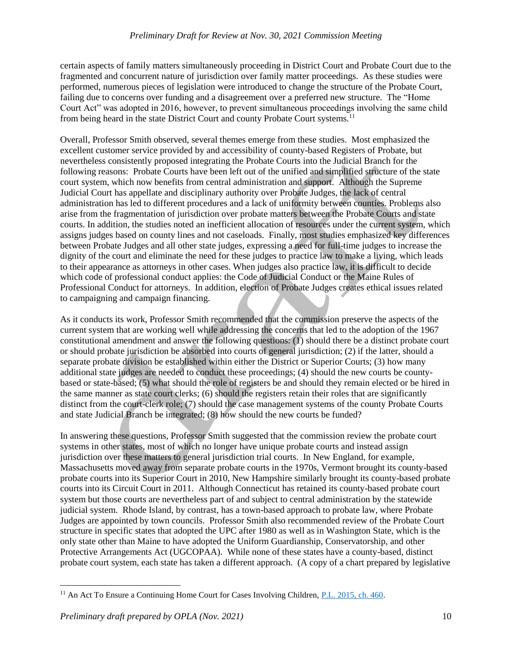certain aspects of family matters simultaneously proceeding in District Court and Probate Court due to the fragmented and concurrent nature of jurisdiction over family matter proceedings. As these studies were performed, numerous pieces of legislation were introduced to change the structure of the Probate Court, failing due to concerns over funding and a disagreement over a preferred new structure. The "Home Court Act" was adopted in 2016, however, to prevent simultaneous proceedings involving the same child from being heard in the state District Court and county Probate Court systems.<sup>11</sup>

Overall, Professor Smith observed, several themes emerge from these studies. Most emphasized the excellent customer service provided by and accessibility of county-based Registers of Probate, but nevertheless consistently proposed integrating the Probate Courts into the Judicial Branch for the following reasons: Probate Courts have been left out of the unified and simplified structure of the state court system, which now benefits from central administration and support. Although the Supreme Judicial Court has appellate and disciplinary authority over Probate Judges, the lack of central administration has led to different procedures and a lack of uniformity between counties. Problems also arise from the fragmentation of jurisdiction over probate matters between the Probate Courts and state courts. In addition, the studies noted an inefficient allocation of resources under the current system, which assigns judges based on county lines and not caseloads. Finally, most studies emphasized key differences between Probate Judges and all other state judges, expressing a need for full-time judges to increase the dignity of the court and eliminate the need for these judges to practice law to make a living, which leads to their appearance as attorneys in other cases. When judges also practice law, it is difficult to decide which code of professional conduct applies: the Code of Judicial Conduct or the Maine Rules of Professional Conduct for attorneys. In addition, election of Probate Judges creates ethical issues related to campaigning and campaign financing.

As it conducts its work, Professor Smith recommended that the commission preserve the aspects of the current system that are working well while addressing the concerns that led to the adoption of the 1967 constitutional amendment and answer the following questions: (1) should there be a distinct probate court or should probate jurisdiction be absorbed into courts of general jurisdiction; (2) if the latter, should a separate probate division be established within either the District or Superior Courts; (3) how many additional state judges are needed to conduct these proceedings; (4) should the new courts be countybased or state-based; (5) what should the role of registers be and should they remain elected or be hired in the same manner as state court clerks; (6) should the registers retain their roles that are significantly distinct from the court-clerk role; (7) should the case management systems of the county Probate Courts and state Judicial Branch be integrated; (8) how should the new courts be funded?

In answering these questions, Professor Smith suggested that the commission review the probate court systems in other states, most of which no longer have unique probate courts and instead assign jurisdiction over these matters to general jurisdiction trial courts. In New England, for example, Massachusetts moved away from separate probate courts in the 1970s, Vermont brought its county-based probate courts into its Superior Court in 2010, New Hampshire similarly brought its county-based probate courts into its Circuit Court in 2011. Although Connecticut has retained its county-based probate court system but those courts are nevertheless part of and subject to central administration by the statewide judicial system. Rhode Island, by contrast, has a town-based approach to probate law, where Probate Judges are appointed by town councils. Professor Smith also recommended review of the Probate Court structure in specific states that adopted the UPC after 1980 as well as in Washington State, which is the only state other than Maine to have adopted the Uniform Guardianship, Conservatorship, and other Protective Arrangements Act (UGCOPAA). While none of these states have a county-based, distinct probate court system, each state has taken a different approach. (A copy of a chart prepared by legislative

l <sup>11</sup> An Act To Ensure a Continuing Home Court for Cases Involving Children, [P.L. 2015, ch. 460.](https://legislature.maine.gov/legis/bills/getPDF.asp?paper=HP0609&item=3&snum=127)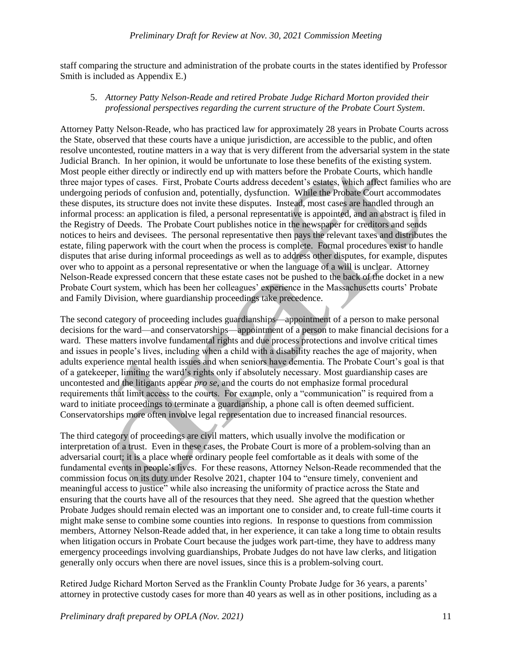staff comparing the structure and administration of the probate courts in the states identified by Professor Smith is included as Appendix E.)

5. *Attorney Patty Nelson-Reade and retired Probate Judge Richard Morton provided their professional perspectives regarding the current structure of the Probate Court System*.

Attorney Patty Nelson-Reade, who has practiced law for approximately 28 years in Probate Courts across the State, observed that these courts have a unique jurisdiction, are accessible to the public, and often resolve uncontested, routine matters in a way that is very different from the adversarial system in the state Judicial Branch. In her opinion, it would be unfortunate to lose these benefits of the existing system. Most people either directly or indirectly end up with matters before the Probate Courts, which handle three major types of cases. First, Probate Courts address decedent's estates, which affect families who are undergoing periods of confusion and, potentially, dysfunction. While the Probate Court accommodates these disputes, its structure does not invite these disputes. Instead, most cases are handled through an informal process: an application is filed, a personal representative is appointed, and an abstract is filed in the Registry of Deeds. The Probate Court publishes notice in the newspaper for creditors and sends notices to heirs and devisees. The personal representative then pays the relevant taxes and distributes the estate, filing paperwork with the court when the process is complete. Formal procedures exist to handle disputes that arise during informal proceedings as well as to address other disputes, for example, disputes over who to appoint as a personal representative or when the language of a will is unclear. Attorney Nelson-Reade expressed concern that these estate cases not be pushed to the back of the docket in a new Probate Court system, which has been her colleagues' experience in the Massachusetts courts' Probate and Family Division, where guardianship proceedings take precedence.

The second category of proceeding includes guardianships—appointment of a person to make personal decisions for the ward—and conservatorships—appointment of a person to make financial decisions for a ward. These matters involve fundamental rights and due process protections and involve critical times and issues in people's lives, including when a child with a disability reaches the age of majority, when adults experience mental health issues and when seniors have dementia. The Probate Court's goal is that of a gatekeeper, limiting the ward's rights only if absolutely necessary. Most guardianship cases are uncontested and the litigants appear *pro se*, and the courts do not emphasize formal procedural requirements that limit access to the courts. For example, only a "communication" is required from a ward to initiate proceedings to terminate a guardianship, a phone call is often deemed sufficient. Conservatorships more often involve legal representation due to increased financial resources.

The third category of proceedings are civil matters, which usually involve the modification or interpretation of a trust. Even in these cases, the Probate Court is more of a problem-solving than an adversarial court; it is a place where ordinary people feel comfortable as it deals with some of the fundamental events in people's lives. For these reasons, Attorney Nelson-Reade recommended that the commission focus on its duty under Resolve 2021, chapter 104 to "ensure timely, convenient and meaningful access to justice" while also increasing the uniformity of practice across the State and ensuring that the courts have all of the resources that they need. She agreed that the question whether Probate Judges should remain elected was an important one to consider and, to create full-time courts it might make sense to combine some counties into regions. In response to questions from commission members, Attorney Nelson-Reade added that, in her experience, it can take a long time to obtain results when litigation occurs in Probate Court because the judges work part-time, they have to address many emergency proceedings involving guardianships, Probate Judges do not have law clerks, and litigation generally only occurs when there are novel issues, since this is a problem-solving court.

Retired Judge Richard Morton Served as the Franklin County Probate Judge for 36 years, a parents' attorney in protective custody cases for more than 40 years as well as in other positions, including as a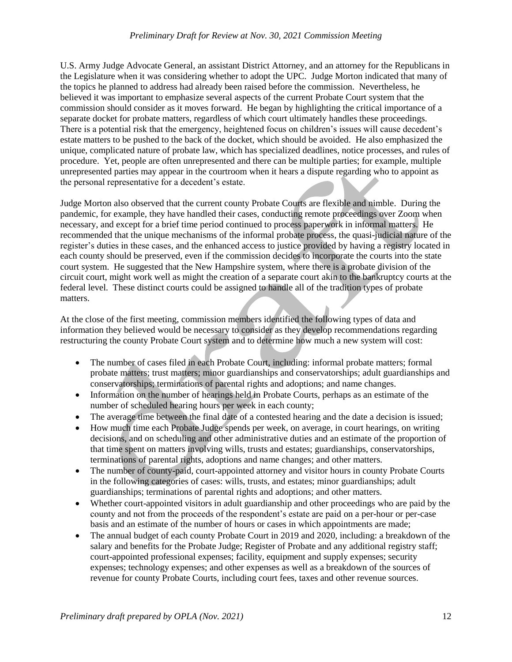#### *Preliminary Draft for Review at Nov. 30, 2021 Commission Meeting*

U.S. Army Judge Advocate General, an assistant District Attorney, and an attorney for the Republicans in the Legislature when it was considering whether to adopt the UPC. Judge Morton indicated that many of the topics he planned to address had already been raised before the commission. Nevertheless, he believed it was important to emphasize several aspects of the current Probate Court system that the commission should consider as it moves forward. He began by highlighting the critical importance of a separate docket for probate matters, regardless of which court ultimately handles these proceedings. There is a potential risk that the emergency, heightened focus on children's issues will cause decedent's estate matters to be pushed to the back of the docket, which should be avoided. He also emphasized the unique, complicated nature of probate law, which has specialized deadlines, notice processes, and rules of procedure. Yet, people are often unrepresented and there can be multiple parties; for example, multiple unrepresented parties may appear in the courtroom when it hears a dispute regarding who to appoint as the personal representative for a decedent's estate.

Judge Morton also observed that the current county Probate Courts are flexible and nimble. During the pandemic, for example, they have handled their cases, conducting remote proceedings over Zoom when necessary, and except for a brief time period continued to process paperwork in informal matters. He recommended that the unique mechanisms of the informal probate process, the quasi-judicial nature of the register's duties in these cases, and the enhanced access to justice provided by having a registry located in each county should be preserved, even if the commission decides to incorporate the courts into the state court system. He suggested that the New Hampshire system, where there is a probate division of the circuit court, might work well as might the creation of a separate court akin to the bankruptcy courts at the federal level. These distinct courts could be assigned to handle all of the tradition types of probate matters.

At the close of the first meeting, commission members identified the following types of data and information they believed would be necessary to consider as they develop recommendations regarding restructuring the county Probate Court system and to determine how much a new system will cost:

- The number of cases filed in each Probate Court, including: informal probate matters; formal probate matters; trust matters; minor guardianships and conservatorships; adult guardianships and conservatorships; terminations of parental rights and adoptions; and name changes.
- Information on the number of hearings held in Probate Courts, perhaps as an estimate of the number of scheduled hearing hours per week in each county;
- The average time between the final date of a contested hearing and the date a decision is issued;
- How much time each Probate Judge spends per week, on average, in court hearings, on writing decisions, and on scheduling and other administrative duties and an estimate of the proportion of that time spent on matters involving wills, trusts and estates; guardianships, conservatorships, terminations of parental rights, adoptions and name changes; and other matters.
- The number of county-paid, court-appointed attorney and visitor hours in county Probate Courts in the following categories of cases: wills, trusts, and estates; minor guardianships; adult guardianships; terminations of parental rights and adoptions; and other matters.
- Whether court-appointed visitors in adult guardianship and other proceedings who are paid by the county and not from the proceeds of the respondent's estate are paid on a per-hour or per-case basis and an estimate of the number of hours or cases in which appointments are made;
- The annual budget of each county Probate Court in 2019 and 2020, including: a breakdown of the salary and benefits for the Probate Judge; Register of Probate and any additional registry staff; court-appointed professional expenses; facility, equipment and supply expenses; security expenses; technology expenses; and other expenses as well as a breakdown of the sources of revenue for county Probate Courts, including court fees, taxes and other revenue sources.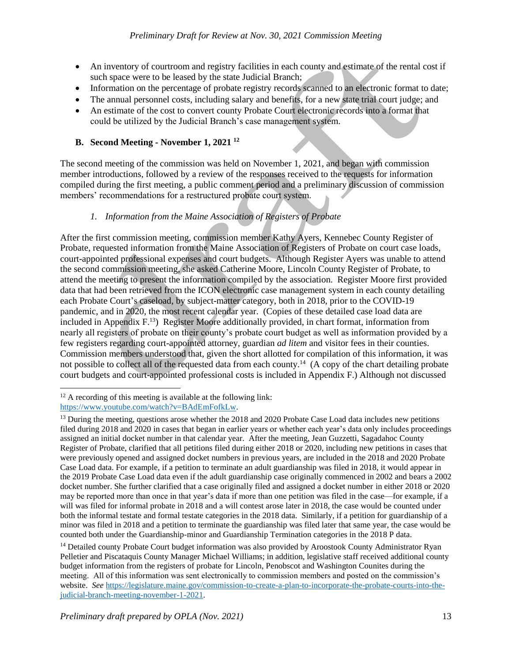- An inventory of courtroom and registry facilities in each county and estimate of the rental cost if such space were to be leased by the state Judicial Branch;
- Information on the percentage of probate registry records scanned to an electronic format to date:
- The annual personnel costs, including salary and benefits, for a new state trial court judge; and
- An estimate of the cost to convert county Probate Court electronic records into a format that could be utilized by the Judicial Branch's case management system.

# **B. Second Meeting - November 1, 2021 <sup>12</sup>**

The second meeting of the commission was held on November 1, 2021, and began with commission member introductions, followed by a review of the responses received to the requests for information compiled during the first meeting, a public comment period and a preliminary discussion of commission members' recommendations for a restructured probate court system.

# *1. Information from the Maine Association of Registers of Probate*

After the first commission meeting, commission member Kathy Ayers, Kennebec County Register of Probate, requested information from the Maine Association of Registers of Probate on court case loads, court-appointed professional expenses and court budgets. Although Register Ayers was unable to attend the second commission meeting, she asked Catherine Moore, Lincoln County Register of Probate, to attend the meeting to present the information compiled by the association. Register Moore first provided data that had been retrieved from the ICON electronic case management system in each county detailing each Probate Court's caseload, by subject-matter category, both in 2018, prior to the COVID-19 pandemic, and in 2020, the most recent calendar year. (Copies of these detailed case load data are included in Appendix F.<sup>13</sup>) Register Moore additionally provided, in chart format, information from nearly all registers of probate on their county's probate court budget as well as information provided by a few registers regarding court-appointed attorney, guardian *ad litem* and visitor fees in their counties. Commission members understood that, given the short allotted for compilation of this information, it was not possible to collect all of the requested data from each county.<sup>14</sup> (A copy of the chart detailing probate court budgets and court-appointed professional costs is included in Appendix F.) Although not discussed

 $\overline{\phantom{a}}$ 

 $12$  A recording of this meeting is available at the following link: [https://www.youtube.com/watch?v=BAdEmFofkLw.](https://www.youtube.com/watch?v=BAdEmFofkLw)

<sup>&</sup>lt;sup>13</sup> During the meeting, questions arose whether the 2018 and 2020 Probate Case Load data includes new petitions filed during 2018 and 2020 in cases that began in earlier years or whether each year's data only includes proceedings assigned an initial docket number in that calendar year. After the meeting, Jean Guzzetti, Sagadahoc County Register of Probate, clarified that all petitions filed during either 2018 or 2020, including new petitions in cases that were previously opened and assigned docket numbers in previous years, are included in the 2018 and 2020 Probate Case Load data. For example, if a petition to terminate an adult guardianship was filed in 2018, it would appear in the 2019 Probate Case Load data even if the adult guardianship case originally commenced in 2002 and bears a 2002 docket number. She further clarified that a case originally filed and assigned a docket number in either 2018 or 2020 may be reported more than once in that year's data if more than one petition was filed in the case—for example, if a will was filed for informal probate in 2018 and a will contest arose later in 2018, the case would be counted under both the informal testate and formal testate categories in the 2018 data. Similarly, if a petition for guardianship of a minor was filed in 2018 and a petition to terminate the guardianship was filed later that same year, the case would be counted both under the Guardianship-minor and Guardianship Termination categories in the 2018 P data.

<sup>&</sup>lt;sup>14</sup> Detailed county Probate Court budget information was also provided by Aroostook County Administrator Ryan Pelletier and Piscataquis County Manager Michael Williams; in addition, legislative staff received additional county budget information from the registers of probate for Lincoln, Penobscot and Washington Counites during the meeting. All of this information was sent electronically to commission members and posted on the commission's website. *See* [https://legislature.maine.gov/commission-to-create-a-plan-to-incorporate-the-probate-courts-into-the](https://legislature.maine.gov/commission-to-create-a-plan-to-incorporate-the-probate-courts-into-the-judicial-branch-meeting-november-1-2021)[judicial-branch-meeting-november-1-2021.](https://legislature.maine.gov/commission-to-create-a-plan-to-incorporate-the-probate-courts-into-the-judicial-branch-meeting-november-1-2021)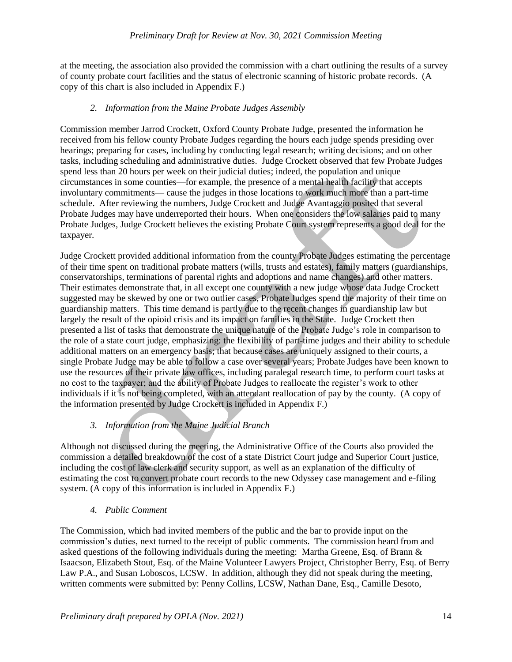at the meeting, the association also provided the commission with a chart outlining the results of a survey of county probate court facilities and the status of electronic scanning of historic probate records. (A copy of this chart is also included in Appendix F.)

# *2. Information from the Maine Probate Judges Assembly*

Commission member Jarrod Crockett, Oxford County Probate Judge, presented the information he received from his fellow county Probate Judges regarding the hours each judge spends presiding over hearings; preparing for cases, including by conducting legal research; writing decisions; and on other tasks, including scheduling and administrative duties. Judge Crockett observed that few Probate Judges spend less than 20 hours per week on their judicial duties; indeed, the population and unique circumstances in some counties—for example, the presence of a mental health facility that accepts involuntary commitments— cause the judges in those locations to work much more than a part-time schedule. After reviewing the numbers, Judge Crockett and Judge Avantaggio posited that several Probate Judges may have underreported their hours. When one considers the low salaries paid to many Probate Judges, Judge Crockett believes the existing Probate Court system represents a good deal for the taxpayer.

Judge Crockett provided additional information from the county Probate Judges estimating the percentage of their time spent on traditional probate matters (wills, trusts and estates), family matters (guardianships, conservatorships, terminations of parental rights and adoptions and name changes) and other matters. Their estimates demonstrate that, in all except one county with a new judge whose data Judge Crockett suggested may be skewed by one or two outlier cases, Probate Judges spend the majority of their time on guardianship matters. This time demand is partly due to the recent changes in guardianship law but largely the result of the opioid crisis and its impact on families in the State. Judge Crockett then presented a list of tasks that demonstrate the unique nature of the Probate Judge's role in comparison to the role of a state court judge, emphasizing: the flexibility of part-time judges and their ability to schedule additional matters on an emergency basis; that because cases are uniquely assigned to their courts, a single Probate Judge may be able to follow a case over several years; Probate Judges have been known to use the resources of their private law offices, including paralegal research time, to perform court tasks at no cost to the taxpayer; and the ability of Probate Judges to reallocate the register's work to other individuals if it is not being completed, with an attendant reallocation of pay by the county. (A copy of the information presented by Judge Crockett is included in Appendix F.)

# *3. Information from the Maine Judicial Branch*

Although not discussed during the meeting, the Administrative Office of the Courts also provided the commission a detailed breakdown of the cost of a state District Court judge and Superior Court justice, including the cost of law clerk and security support, as well as an explanation of the difficulty of estimating the cost to convert probate court records to the new Odyssey case management and e-filing system. (A copy of this information is included in Appendix F.)

# *4. Public Comment*

The Commission, which had invited members of the public and the bar to provide input on the commission's duties, next turned to the receipt of public comments. The commission heard from and asked questions of the following individuals during the meeting: Martha Greene, Esq. of Brann & Isaacson, Elizabeth Stout, Esq. of the Maine Volunteer Lawyers Project, Christopher Berry, Esq. of Berry Law P.A., and Susan Loboscos, LCSW. In addition, although they did not speak during the meeting, written comments were submitted by: Penny Collins, LCSW, Nathan Dane, Esq., Camille Desoto,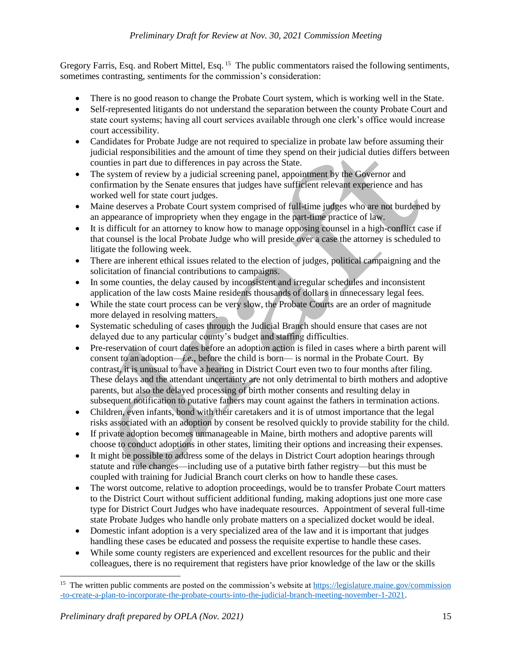Gregory Farris, Esq. and Robert Mittel, Esq.<sup>15</sup> The public commentators raised the following sentiments, sometimes contrasting, sentiments for the commission's consideration:

- There is no good reason to change the Probate Court system, which is working well in the State.
- Self-represented litigants do not understand the separation between the county Probate Court and state court systems; having all court services available through one clerk's office would increase court accessibility.
- Candidates for Probate Judge are not required to specialize in probate law before assuming their judicial responsibilities and the amount of time they spend on their judicial duties differs between counties in part due to differences in pay across the State.
- The system of review by a judicial screening panel, appointment by the Governor and confirmation by the Senate ensures that judges have sufficient relevant experience and has worked well for state court judges.
- Maine deserves a Probate Court system comprised of full-time judges who are not burdened by an appearance of impropriety when they engage in the part-time practice of law.
- It is difficult for an attorney to know how to manage opposing counsel in a high-conflict case if that counsel is the local Probate Judge who will preside over a case the attorney is scheduled to litigate the following week.
- There are inherent ethical issues related to the election of judges, political campaigning and the solicitation of financial contributions to campaigns.
- In some counties, the delay caused by inconsistent and irregular schedules and inconsistent application of the law costs Maine residents thousands of dollars in unnecessary legal fees.
- While the state court process can be very slow, the Probate Courts are an order of magnitude more delayed in resolving matters.
- Systematic scheduling of cases through the Judicial Branch should ensure that cases are not delayed due to any particular county's budget and staffing difficulties.
- Pre-reservation of court dates before an adoption action is filed in cases where a birth parent will consent to an adoption—*i.e.*, before the child is born— is normal in the Probate Court. By contrast, it is unusual to have a hearing in District Court even two to four months after filing. These delays and the attendant uncertainty are not only detrimental to birth mothers and adoptive parents, but also the delayed processing of birth mother consents and resulting delay in subsequent notification to putative fathers may count against the fathers in termination actions.
- Children, even infants, bond with their caretakers and it is of utmost importance that the legal risks associated with an adoption by consent be resolved quickly to provide stability for the child.
- If private adoption becomes unmanageable in Maine, birth mothers and adoptive parents will choose to conduct adoptions in other states, limiting their options and increasing their expenses.
- It might be possible to address some of the delays in District Court adoption hearings through statute and rule changes—including use of a putative birth father registry—but this must be coupled with training for Judicial Branch court clerks on how to handle these cases.
- The worst outcome, relative to adoption proceedings, would be to transfer Probate Court matters to the District Court without sufficient additional funding, making adoptions just one more case type for District Court Judges who have inadequate resources. Appointment of several full-time state Probate Judges who handle only probate matters on a specialized docket would be ideal.
- Domestic infant adoption is a very specialized area of the law and it is important that judges handling these cases be educated and possess the requisite expertise to handle these cases.
- While some county registers are experienced and excellent resources for the public and their colleagues, there is no requirement that registers have prior knowledge of the law or the skills

 $\overline{\phantom{a}}$ 

<sup>&</sup>lt;sup>15</sup> The written public comments are posted on the commission's website at [https://legislature.maine.gov/commission](https://legislature.maine.gov/commission-to-create-a-plan-to-incorporate-the-probate-courts-into-the-judicial-branch-meeting-november-1-2021) [-to-create-a-plan-to-incorporate-the-probate-courts-into-the-judicial-branch-meeting-november-1-2021.](https://legislature.maine.gov/commission-to-create-a-plan-to-incorporate-the-probate-courts-into-the-judicial-branch-meeting-november-1-2021)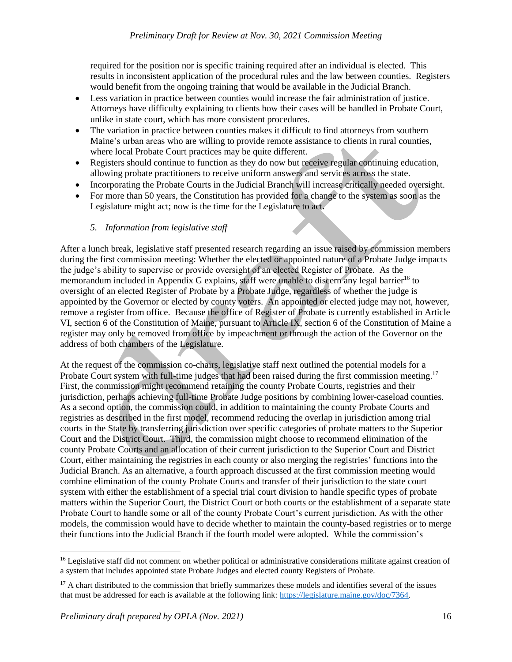required for the position nor is specific training required after an individual is elected. This results in inconsistent application of the procedural rules and the law between counties. Registers would benefit from the ongoing training that would be available in the Judicial Branch.

- Less variation in practice between counties would increase the fair administration of justice. Attorneys have difficulty explaining to clients how their cases will be handled in Probate Court, unlike in state court, which has more consistent procedures.
- The variation in practice between counties makes it difficult to find attorneys from southern Maine's urban areas who are willing to provide remote assistance to clients in rural counties, where local Probate Court practices may be quite different.
- Registers should continue to function as they do now but receive regular continuing education, allowing probate practitioners to receive uniform answers and services across the state.
- Incorporating the Probate Courts in the Judicial Branch will increase critically needed oversight.
- For more than 50 years, the Constitution has provided for a change to the system as soon as the Legislature might act; now is the time for the Legislature to act.

# *5. Information from legislative staff*

After a lunch break, legislative staff presented research regarding an issue raised by commission members during the first commission meeting: Whether the elected or appointed nature of a Probate Judge impacts the judge's ability to supervise or provide oversight of an elected Register of Probate. As the memorandum included in Appendix G explains, staff were unable to discern any legal barrier<sup>16</sup> to oversight of an elected Register of Probate by a Probate Judge, regardless of whether the judge is appointed by the Governor or elected by county voters. An appointed or elected judge may not, however, remove a register from office. Because the office of Register of Probate is currently established in Article VI, section 6 of the Constitution of Maine, pursuant to Article IX, section 6 of the Constitution of Maine a register may only be removed from office by impeachment or through the action of the Governor on the address of both chambers of the Legislature.

At the request of the commission co-chairs, legislative staff next outlined the potential models for a Probate Court system with full-time judges that had been raised during the first commission meeting.<sup>17</sup> First, the commission might recommend retaining the county Probate Courts, registries and their jurisdiction, perhaps achieving full-time Probate Judge positions by combining lower-caseload counties. As a second option, the commission could, in addition to maintaining the county Probate Courts and registries as described in the first model, recommend reducing the overlap in jurisdiction among trial courts in the State by transferring jurisdiction over specific categories of probate matters to the Superior Court and the District Court. Third, the commission might choose to recommend elimination of the county Probate Courts and an allocation of their current jurisdiction to the Superior Court and District Court, either maintaining the registries in each county or also merging the registries' functions into the Judicial Branch. As an alternative, a fourth approach discussed at the first commission meeting would combine elimination of the county Probate Courts and transfer of their jurisdiction to the state court system with either the establishment of a special trial court division to handle specific types of probate matters within the Superior Court, the District Court or both courts or the establishment of a separate state Probate Court to handle some or all of the county Probate Court's current jurisdiction. As with the other models, the commission would have to decide whether to maintain the county-based registries or to merge their functions into the Judicial Branch if the fourth model were adopted. While the commission's

<sup>&</sup>lt;sup>16</sup> Legislative staff did not comment on whether political or administrative considerations militate against creation of a system that includes appointed state Probate Judges and elected county Registers of Probate.

 $17$  A chart distributed to the commission that briefly summarizes these models and identifies several of the issues that must be addressed for each is available at the following link: [https://legislature.maine.gov/doc/7364.](https://legislature.maine.gov/doc/7364)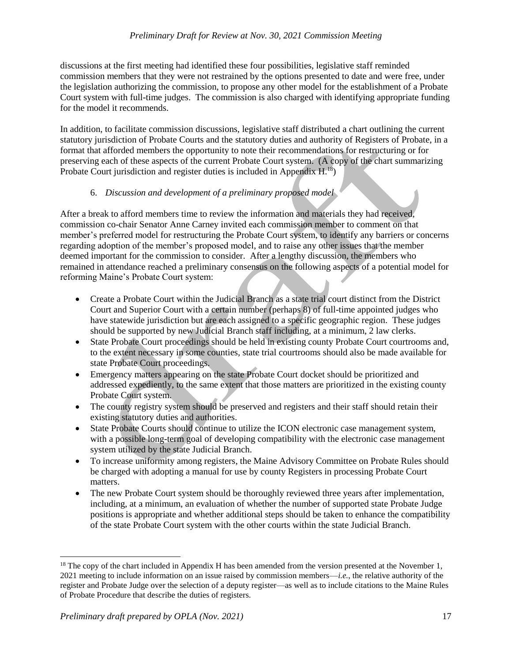discussions at the first meeting had identified these four possibilities, legislative staff reminded commission members that they were not restrained by the options presented to date and were free, under the legislation authorizing the commission, to propose any other model for the establishment of a Probate Court system with full-time judges. The commission is also charged with identifying appropriate funding for the model it recommends.

In addition, to facilitate commission discussions, legislative staff distributed a chart outlining the current statutory jurisdiction of Probate Courts and the statutory duties and authority of Registers of Probate, in a format that afforded members the opportunity to note their recommendations for restructuring or for preserving each of these aspects of the current Probate Court system. (A copy of the chart summarizing Probate Court jurisdiction and register duties is included in Appendix  $H<sup>18</sup>$ )

# 6. *Discussion and development of a preliminary proposed model*

After a break to afford members time to review the information and materials they had received, commission co-chair Senator Anne Carney invited each commission member to comment on that member's preferred model for restructuring the Probate Court system, to identify any barriers or concerns regarding adoption of the member's proposed model, and to raise any other issues that the member deemed important for the commission to consider. After a lengthy discussion, the members who remained in attendance reached a preliminary consensus on the following aspects of a potential model for reforming Maine's Probate Court system:

- Create a Probate Court within the Judicial Branch as a state trial court distinct from the District Court and Superior Court with a certain number (perhaps 8) of full-time appointed judges who have statewide jurisdiction but are each assigned to a specific geographic region. These judges should be supported by new Judicial Branch staff including, at a minimum, 2 law clerks.
- State Probate Court proceedings should be held in existing county Probate Court courtrooms and, to the extent necessary in some counties, state trial courtrooms should also be made available for state Probate Court proceedings.
- Emergency matters appearing on the state Probate Court docket should be prioritized and addressed expediently, to the same extent that those matters are prioritized in the existing county Probate Court system.
- The county registry system should be preserved and registers and their staff should retain their existing statutory duties and authorities.
- State Probate Courts should continue to utilize the ICON electronic case management system, with a possible long-term goal of developing compatibility with the electronic case management system utilized by the state Judicial Branch.
- To increase uniformity among registers, the Maine Advisory Committee on Probate Rules should be charged with adopting a manual for use by county Registers in processing Probate Court matters.
- The new Probate Court system should be thoroughly reviewed three years after implementation, including, at a minimum, an evaluation of whether the number of supported state Probate Judge positions is appropriate and whether additional steps should be taken to enhance the compatibility of the state Probate Court system with the other courts within the state Judicial Branch.

<sup>&</sup>lt;sup>18</sup> The copy of the chart included in Appendix H has been amended from the version presented at the November 1, 2021 meeting to include information on an issue raised by commission members—*i.e.*, the relative authority of the register and Probate Judge over the selection of a deputy register—as well as to include citations to the Maine Rules of Probate Procedure that describe the duties of registers.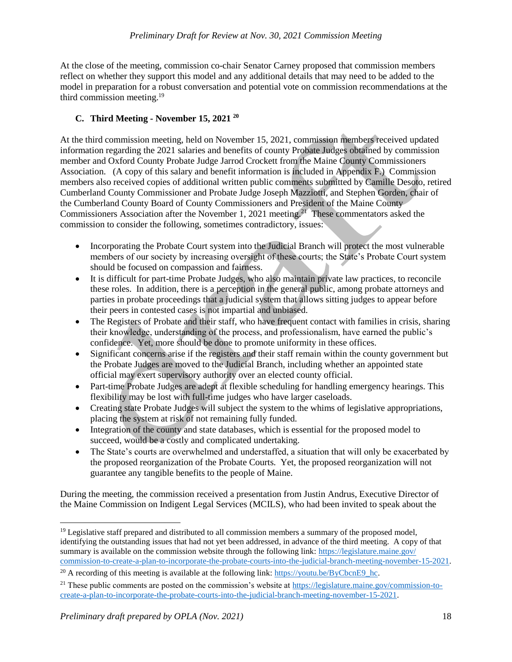At the close of the meeting, commission co-chair Senator Carney proposed that commission members reflect on whether they support this model and any additional details that may need to be added to the model in preparation for a robust conversation and potential vote on commission recommendations at the third commission meeting.<sup>19</sup>

# **C. Third Meeting - November 15, 2021 <sup>20</sup>**

At the third commission meeting, held on November 15, 2021, commission members received updated information regarding the 2021 salaries and benefits of county Probate Judges obtained by commission member and Oxford County Probate Judge Jarrod Crockett from the Maine County Commissioners Association. (A copy of this salary and benefit information is included in Appendix F.) Commission members also received copies of additional written public comments submitted by Camille Desoto, retired Cumberland County Commissioner and Probate Judge Joseph Mazziotti, and Stephen Gorden, chair of the Cumberland County Board of County Commissioners and President of the Maine County Commissioners Association after the November 1, 2021 meeting.<sup>21</sup> These commentators asked the commission to consider the following, sometimes contradictory, issues:

- Incorporating the Probate Court system into the Judicial Branch will protect the most vulnerable members of our society by increasing oversight of these courts; the State's Probate Court system should be focused on compassion and fairness.
- It is difficult for part-time Probate Judges, who also maintain private law practices, to reconcile these roles. In addition, there is a perception in the general public, among probate attorneys and parties in probate proceedings that a judicial system that allows sitting judges to appear before their peers in contested cases is not impartial and unbiased.
- The Registers of Probate and their staff, who have frequent contact with families in crisis, sharing their knowledge, understanding of the process, and professionalism, have earned the public's confidence. Yet, more should be done to promote uniformity in these offices.
- Significant concerns arise if the registers and their staff remain within the county government but the Probate Judges are moved to the Judicial Branch, including whether an appointed state official may exert supervisory authority over an elected county official.
- Part-time Probate Judges are adept at flexible scheduling for handling emergency hearings. This flexibility may be lost with full-time judges who have larger caseloads.
- Creating state Probate Judges will subject the system to the whims of legislative appropriations, placing the system at risk of not remaining fully funded.
- Integration of the county and state databases, which is essential for the proposed model to succeed, would be a costly and complicated undertaking.
- The State's courts are overwhelmed and understaffed, a situation that will only be exacerbated by the proposed reorganization of the Probate Courts. Yet, the proposed reorganization will not guarantee any tangible benefits to the people of Maine.

During the meeting, the commission received a presentation from Justin Andrus, Executive Director of the Maine Commission on Indigent Legal Services (MCILS), who had been invited to speak about the

 $19$  Legislative staff prepared and distributed to all commission members a summary of the proposed model, identifying the outstanding issues that had not yet been addressed, in advance of the third meeting. A copy of that summary is available on the commission website through the following link: [https://legislature.maine.gov/](https://legislature.maine.gov/commission-to-create-a-plan-to-incorporate-the-probate-courts-into-the-judicial-branch-meeting-november-15-2021) [commission-to-create-a-plan-to-incorporate-the-probate-courts-into-the-judicial-branch-meeting-november-15-2021.](https://legislature.maine.gov/commission-to-create-a-plan-to-incorporate-the-probate-courts-into-the-judicial-branch-meeting-november-15-2021) 

<sup>&</sup>lt;sup>20</sup> A recording of this meeting is available at the following link: [https://youtu.be/ByCbcnE9\\_hc.](https://youtu.be/ByCbcnE9_hc)

<sup>&</sup>lt;sup>21</sup> These public comments are posted on the commission's website at [https://legislature.maine.gov/commission-to](https://legislature.maine.gov/commission-to-create-a-plan-to-incorporate-the-probate-courts-into-the-judicial-branch-meeting-november-15-2021)[create-a-plan-to-incorporate-the-probate-courts-into-the-judicial-branch-meeting-november-15-2021.](https://legislature.maine.gov/commission-to-create-a-plan-to-incorporate-the-probate-courts-into-the-judicial-branch-meeting-november-15-2021)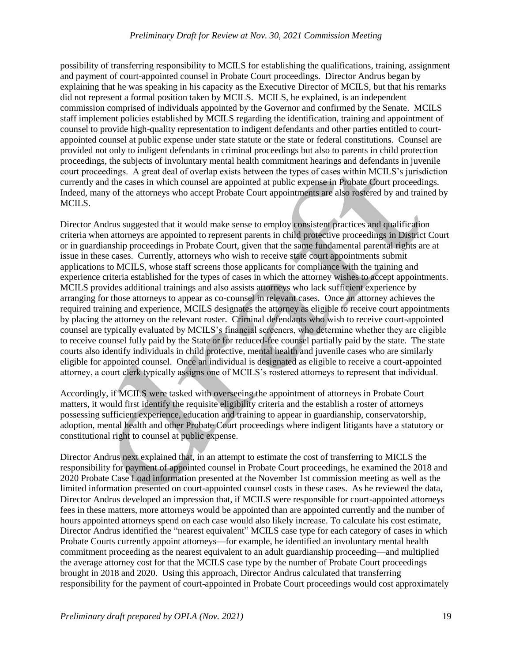possibility of transferring responsibility to MCILS for establishing the qualifications, training, assignment and payment of court-appointed counsel in Probate Court proceedings. Director Andrus began by explaining that he was speaking in his capacity as the Executive Director of MCILS, but that his remarks did not represent a formal position taken by MCILS. MCILS, he explained, is an independent commission comprised of individuals appointed by the Governor and confirmed by the Senate. MCILS staff implement policies established by MCILS regarding the identification, training and appointment of counsel to provide high-quality representation to indigent defendants and other parties entitled to courtappointed counsel at public expense under state statute or the state or federal constitutions. Counsel are provided not only to indigent defendants in criminal proceedings but also to parents in child protection proceedings, the subjects of involuntary mental health commitment hearings and defendants in juvenile court proceedings. A great deal of overlap exists between the types of cases within MCILS's jurisdiction currently and the cases in which counsel are appointed at public expense in Probate Court proceedings. Indeed, many of the attorneys who accept Probate Court appointments are also rostered by and trained by MCILS.

Director Andrus suggested that it would make sense to employ consistent practices and qualification criteria when attorneys are appointed to represent parents in child protective proceedings in District Court or in guardianship proceedings in Probate Court, given that the same fundamental parental rights are at issue in these cases. Currently, attorneys who wish to receive state court appointments submit applications to MCILS, whose staff screens those applicants for compliance with the training and experience criteria established for the types of cases in which the attorney wishes to accept appointments. MCILS provides additional trainings and also assists attorneys who lack sufficient experience by arranging for those attorneys to appear as co-counsel in relevant cases. Once an attorney achieves the required training and experience, MCILS designates the attorney as eligible to receive court appointments by placing the attorney on the relevant roster. Criminal defendants who wish to receive court-appointed counsel are typically evaluated by MCILS's financial screeners, who determine whether they are eligible to receive counsel fully paid by the State or for reduced-fee counsel partially paid by the state. The state courts also identify individuals in child protective, mental health and juvenile cases who are similarly eligible for appointed counsel. Once an individual is designated as eligible to receive a court-appointed attorney, a court clerk typically assigns one of MCILS's rostered attorneys to represent that individual.

Accordingly, if MCILS were tasked with overseeing the appointment of attorneys in Probate Court matters, it would first identify the requisite eligibility criteria and the establish a roster of attorneys possessing sufficient experience, education and training to appear in guardianship, conservatorship, adoption, mental health and other Probate Court proceedings where indigent litigants have a statutory or constitutional right to counsel at public expense.

Director Andrus next explained that, in an attempt to estimate the cost of transferring to MICLS the responsibility for payment of appointed counsel in Probate Court proceedings, he examined the 2018 and 2020 Probate Case Load information presented at the November 1st commission meeting as well as the limited information presented on court-appointed counsel costs in these cases. As he reviewed the data, Director Andrus developed an impression that, if MCILS were responsible for court-appointed attorneys fees in these matters, more attorneys would be appointed than are appointed currently and the number of hours appointed attorneys spend on each case would also likely increase. To calculate his cost estimate, Director Andrus identified the "nearest equivalent" MCILS case type for each category of cases in which Probate Courts currently appoint attorneys—for example, he identified an involuntary mental health commitment proceeding as the nearest equivalent to an adult guardianship proceeding—and multiplied the average attorney cost for that the MCILS case type by the number of Probate Court proceedings brought in 2018 and 2020. Using this approach, Director Andrus calculated that transferring responsibility for the payment of court-appointed in Probate Court proceedings would cost approximately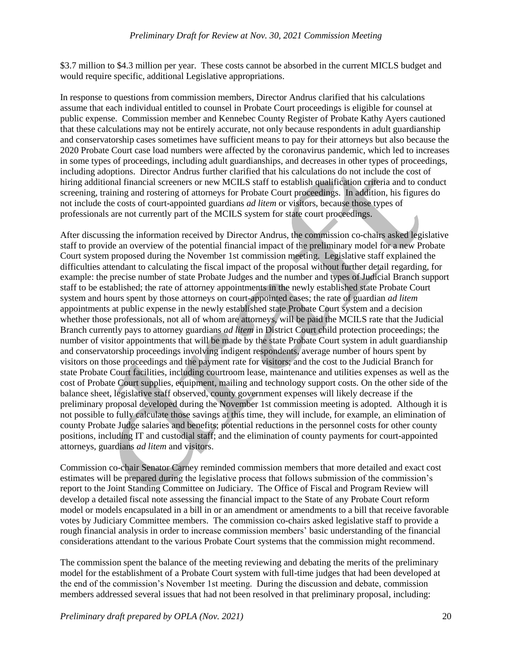\$3.7 million to \$4.3 million per year. These costs cannot be absorbed in the current MICLS budget and would require specific, additional Legislative appropriations.

In response to questions from commission members, Director Andrus clarified that his calculations assume that each individual entitled to counsel in Probate Court proceedings is eligible for counsel at public expense. Commission member and Kennebec County Register of Probate Kathy Ayers cautioned that these calculations may not be entirely accurate, not only because respondents in adult guardianship and conservatorship cases sometimes have sufficient means to pay for their attorneys but also because the 2020 Probate Court case load numbers were affected by the coronavirus pandemic, which led to increases in some types of proceedings, including adult guardianships, and decreases in other types of proceedings, including adoptions. Director Andrus further clarified that his calculations do not include the cost of hiring additional financial screeners or new MCILS staff to establish qualification criteria and to conduct screening, training and rostering of attorneys for Probate Court proceedings. In addition, his figures do not include the costs of court-appointed guardians *ad litem* or visitors, because those types of professionals are not currently part of the MCILS system for state court proceedings.

After discussing the information received by Director Andrus, the commission co-chairs asked legislative staff to provide an overview of the potential financial impact of the preliminary model for a new Probate Court system proposed during the November 1st commission meeting. Legislative staff explained the difficulties attendant to calculating the fiscal impact of the proposal without further detail regarding, for example: the precise number of state Probate Judges and the number and types of Judicial Branch support staff to be established; the rate of attorney appointments in the newly established state Probate Court system and hours spent by those attorneys on court-appointed cases; the rate of guardian *ad litem*  appointments at public expense in the newly established state Probate Court system and a decision whether those professionals, not all of whom are attorneys, will be paid the MCILS rate that the Judicial Branch currently pays to attorney guardians *ad litem* in District Court child protection proceedings; the number of visitor appointments that will be made by the state Probate Court system in adult guardianship and conservatorship proceedings involving indigent respondents, average number of hours spent by visitors on those proceedings and the payment rate for visitors; and the cost to the Judicial Branch for state Probate Court facilities, including courtroom lease, maintenance and utilities expenses as well as the cost of Probate Court supplies, equipment, mailing and technology support costs. On the other side of the balance sheet, legislative staff observed, county government expenses will likely decrease if the preliminary proposal developed during the November 1st commission meeting is adopted. Although it is not possible to fully calculate those savings at this time, they will include, for example, an elimination of county Probate Judge salaries and benefits; potential reductions in the personnel costs for other county positions, including IT and custodial staff; and the elimination of county payments for court-appointed attorneys, guardians *ad litem* and visitors.

Commission co-chair Senator Carney reminded commission members that more detailed and exact cost estimates will be prepared during the legislative process that follows submission of the commission's report to the Joint Standing Committee on Judiciary. The Office of Fiscal and Program Review will develop a detailed fiscal note assessing the financial impact to the State of any Probate Court reform model or models encapsulated in a bill in or an amendment or amendments to a bill that receive favorable votes by Judiciary Committee members. The commission co-chairs asked legislative staff to provide a rough financial analysis in order to increase commission members' basic understanding of the financial considerations attendant to the various Probate Court systems that the commission might recommend.

The commission spent the balance of the meeting reviewing and debating the merits of the preliminary model for the establishment of a Probate Court system with full-time judges that had been developed at the end of the commission's November 1st meeting. During the discussion and debate, commission members addressed several issues that had not been resolved in that preliminary proposal, including: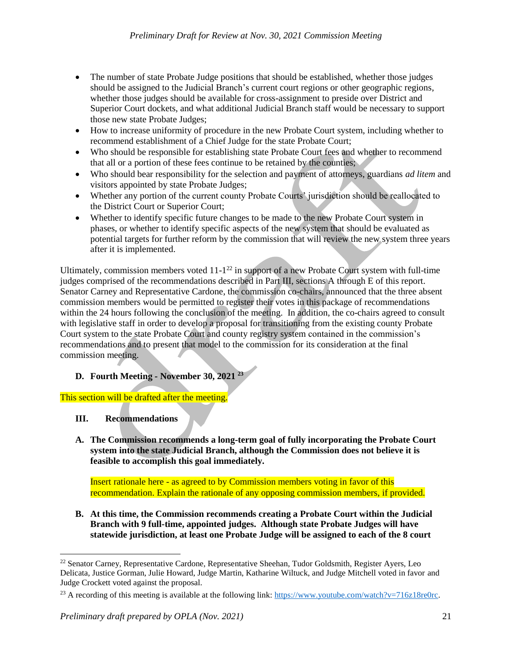- The number of state Probate Judge positions that should be established, whether those judges should be assigned to the Judicial Branch's current court regions or other geographic regions, whether those judges should be available for cross-assignment to preside over District and Superior Court dockets, and what additional Judicial Branch staff would be necessary to support those new state Probate Judges;
- How to increase uniformity of procedure in the new Probate Court system, including whether to recommend establishment of a Chief Judge for the state Probate Court;
- Who should be responsible for establishing state Probate Court fees and whether to recommend that all or a portion of these fees continue to be retained by the counties;
- Who should bear responsibility for the selection and payment of attorneys, guardians *ad litem* and visitors appointed by state Probate Judges;
- Whether any portion of the current county Probate Courts' jurisdiction should be reallocated to the District Court or Superior Court;
- Whether to identify specific future changes to be made to the new Probate Court system in phases, or whether to identify specific aspects of the new system that should be evaluated as potential targets for further reform by the commission that will review the new system three years after it is implemented.

Ultimately, commission members voted  $11-1^{22}$  in support of a new Probate Court system with full-time judges comprised of the recommendations described in Part III, sections A through E of this report. Senator Carney and Representative Cardone, the commission co-chairs, announced that the three absent commission members would be permitted to register their votes in this package of recommendations within the 24 hours following the conclusion of the meeting. In addition, the co-chairs agreed to consult with legislative staff in order to develop a proposal for transitioning from the existing county Probate Court system to the state Probate Court and county registry system contained in the commission's recommendations and to present that model to the commission for its consideration at the final commission meeting.

# **D. Fourth Meeting - November 30, 2021 <sup>23</sup>**

This section will be drafted after the meeting.

**III. Recommendations**

l

**A. The Commission recommends a long-term goal of fully incorporating the Probate Court system into the state Judicial Branch, although the Commission does not believe it is feasible to accomplish this goal immediately.**

Insert rationale here - as agreed to by Commission members voting in favor of this recommendation. Explain the rationale of any opposing commission members, if provided.

**B. At this time, the Commission recommends creating a Probate Court within the Judicial Branch with 9 full-time, appointed judges. Although state Probate Judges will have statewide jurisdiction, at least one Probate Judge will be assigned to each of the 8 court** 

<sup>&</sup>lt;sup>22</sup> Senator Carney, Representative Cardone, Representative Sheehan, Tudor Goldsmith, Register Ayers, Leo Delicata, Justice Gorman, Julie Howard, Judge Martin, Katharine Wiltuck, and Judge Mitchell voted in favor and Judge Crockett voted against the proposal.

<sup>&</sup>lt;sup>23</sup> A recording of this meeting is available at the following link: [https://www.youtube.com/watch?v=716z18re0rc.](https://www.youtube.com/watch?v=716z18re0rc)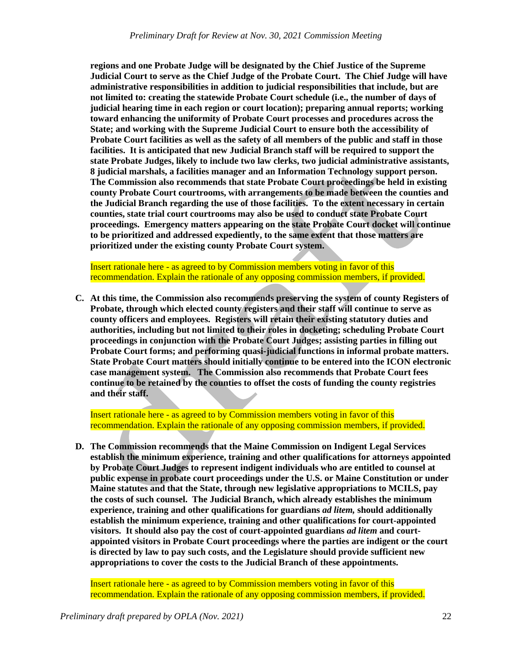**regions and one Probate Judge will be designated by the Chief Justice of the Supreme Judicial Court to serve as the Chief Judge of the Probate Court. The Chief Judge will have administrative responsibilities in addition to judicial responsibilities that include, but are not limited to: creating the statewide Probate Court schedule (i.e., the number of days of judicial hearing time in each region or court location); preparing annual reports; working toward enhancing the uniformity of Probate Court processes and procedures across the State; and working with the Supreme Judicial Court to ensure both the accessibility of Probate Court facilities as well as the safety of all members of the public and staff in those facilities. It is anticipated that new Judicial Branch staff will be required to support the state Probate Judges, likely to include two law clerks, two judicial administrative assistants, 8 judicial marshals, a facilities manager and an Information Technology support person. The Commission also recommends that state Probate Court proceedings be held in existing county Probate Court courtrooms, with arrangements to be made between the counties and the Judicial Branch regarding the use of those facilities. To the extent necessary in certain counties, state trial court courtrooms may also be used to conduct state Probate Court proceedings. Emergency matters appearing on the state Probate Court docket will continue to be prioritized and addressed expediently, to the same extent that those matters are prioritized under the existing county Probate Court system.** 

Insert rationale here - as agreed to by Commission members voting in favor of this recommendation. Explain the rationale of any opposing commission members, if provided.

**C. At this time, the Commission also recommends preserving the system of county Registers of Probate, through which elected county registers and their staff will continue to serve as county officers and employees. Registers will retain their existing statutory duties and authorities, including but not limited to their roles in docketing; scheduling Probate Court proceedings in conjunction with the Probate Court Judges; assisting parties in filling out Probate Court forms; and performing quasi-judicial functions in informal probate matters. State Probate Court matters should initially continue to be entered into the ICON electronic case management system. The Commission also recommends that Probate Court fees continue to be retained by the counties to offset the costs of funding the county registries and their staff.**

Insert rationale here - as agreed to by Commission members voting in favor of this recommendation. Explain the rationale of any opposing commission members, if provided.

**D. The Commission recommends that the Maine Commission on Indigent Legal Services establish the minimum experience, training and other qualifications for attorneys appointed by Probate Court Judges to represent indigent individuals who are entitled to counsel at public expense in probate court proceedings under the U.S. or Maine Constitution or under Maine statutes and that the State, through new legislative appropriations to MCILS, pay the costs of such counsel. The Judicial Branch, which already establishes the minimum experience, training and other qualifications for guardians** *ad litem,* **should additionally establish the minimum experience, training and other qualifications for court-appointed visitors. It should also pay the cost of court-appointed guardians** *ad litem* **and courtappointed visitors in Probate Court proceedings where the parties are indigent or the court is directed by law to pay such costs, and the Legislature should provide sufficient new appropriations to cover the costs to the Judicial Branch of these appointments.**

Insert rationale here - as agreed to by Commission members voting in favor of this recommendation. Explain the rationale of any opposing commission members, if provided.